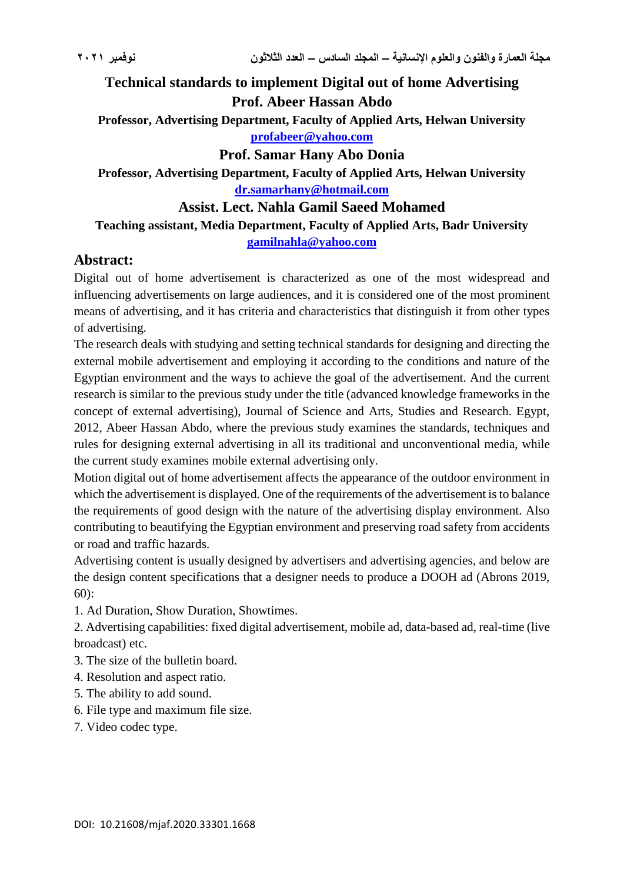**Technical standards to implement Digital out of home Advertising Prof. Abeer Hassan Abdo**

**Professor, Advertising Department, Faculty of Applied Arts, Helwan University [profabeer@yahoo.com](mailto:profabeer@yahoo.com)**

**Prof. Samar Hany Abo Donia**

**Professor, Advertising Department, Faculty of Applied Arts, Helwan University [dr.samarhany@hotmail.com](mailto:dr.samarhany@hotmail.com)**

**Assist. Lect. Nahla Gamil Saeed Mohamed**

### **Teaching assistant, Media Department, Faculty of Applied Arts, Badr University [gamilnahla@yahoo.com](mailto:gamilnahla@yahoo.com)**

## **Abstract:**

Digital out of home advertisement is characterized as one of the most widespread and influencing advertisements on large audiences, and it is considered one of the most prominent means of advertising, and it has criteria and characteristics that distinguish it from other types of advertising.

The research deals with studying and setting technical standards for designing and directing the external mobile advertisement and employing it according to the conditions and nature of the Egyptian environment and the ways to achieve the goal of the advertisement. And the current research is similar to the previous study under the title (advanced knowledge frameworks in the concept of external advertising), Journal of Science and Arts, Studies and Research. Egypt, 2012, Abeer Hassan Abdo, where the previous study examines the standards, techniques and rules for designing external advertising in all its traditional and unconventional media, while the current study examines mobile external advertising only.

Motion digital out of home advertisement affects the appearance of the outdoor environment in which the advertisement is displayed. One of the requirements of the advertisement is to balance the requirements of good design with the nature of the advertising display environment. Also contributing to beautifying the Egyptian environment and preserving road safety from accidents or road and traffic hazards.

Advertising content is usually designed by advertisers and advertising agencies, and below are the design content specifications that a designer needs to produce a DOOH ad (Abrons 2019,  $60$ :

1. Ad Duration, Show Duration, Showtimes.

2. Advertising capabilities: fixed digital advertisement, mobile ad, data-based ad, real-time (live broadcast) etc.

- 3. The size of the bulletin board.
- 4. Resolution and aspect ratio.
- 5. The ability to add sound.
- 6. File type and maximum file size.
- 7. Video codec type.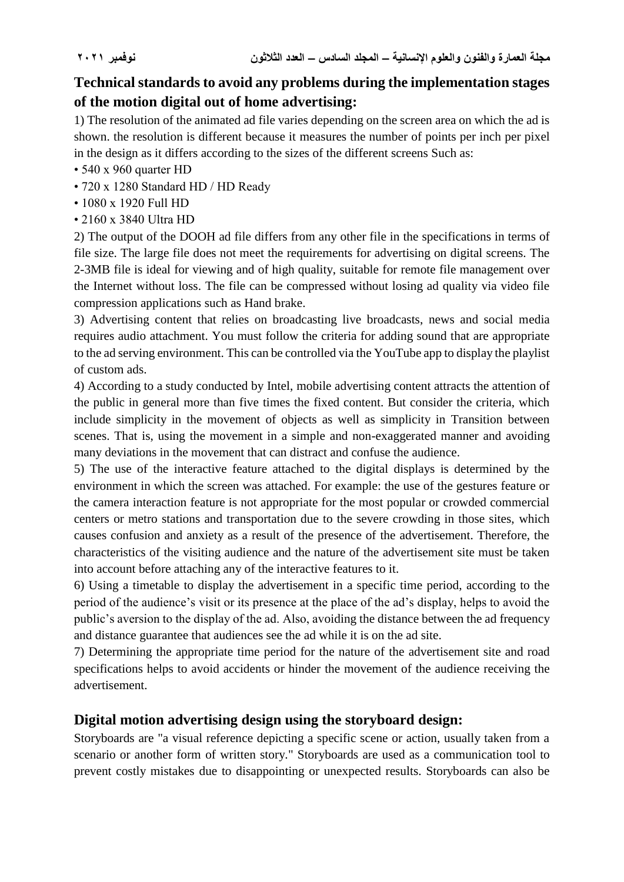# **Technical standards to avoid any problems during the implementation stages of the motion digital out of home advertising:**

1) The resolution of the animated ad file varies depending on the screen area on which the ad is shown. the resolution is different because it measures the number of points per inch per pixel in the design as it differs according to the sizes of the different screens Such as:

- 540 x 960 quarter HD
- 720 x 1280 Standard HD / HD Ready
- 1080 x 1920 Full HD
- 2160 x 3840 Ultra HD

2) The output of the DOOH ad file differs from any other file in the specifications in terms of file size. The large file does not meet the requirements for advertising on digital screens. The 2-3MB file is ideal for viewing and of high quality, suitable for remote file management over the Internet without loss. The file can be compressed without losing ad quality via video file compression applications such as Hand brake.

3) Advertising content that relies on broadcasting live broadcasts, news and social media requires audio attachment. You must follow the criteria for adding sound that are appropriate to the ad serving environment. This can be controlled via the YouTube app to display the playlist of custom ads.

4) According to a study conducted by Intel, mobile advertising content attracts the attention of the public in general more than five times the fixed content. But consider the criteria, which include simplicity in the movement of objects as well as simplicity in Transition between scenes. That is, using the movement in a simple and non-exaggerated manner and avoiding many deviations in the movement that can distract and confuse the audience.

5) The use of the interactive feature attached to the digital displays is determined by the environment in which the screen was attached. For example: the use of the gestures feature or the camera interaction feature is not appropriate for the most popular or crowded commercial centers or metro stations and transportation due to the severe crowding in those sites, which causes confusion and anxiety as a result of the presence of the advertisement. Therefore, the characteristics of the visiting audience and the nature of the advertisement site must be taken into account before attaching any of the interactive features to it.

6) Using a timetable to display the advertisement in a specific time period, according to the period of the audience's visit or its presence at the place of the ad's display, helps to avoid the public's aversion to the display of the ad. Also, avoiding the distance between the ad frequency and distance guarantee that audiences see the ad while it is on the ad site.

7) Determining the appropriate time period for the nature of the advertisement site and road specifications helps to avoid accidents or hinder the movement of the audience receiving the advertisement.

### **Digital motion advertising design using the storyboard design:**

Storyboards are "a visual reference depicting a specific scene or action, usually taken from a scenario or another form of written story." Storyboards are used as a communication tool to prevent costly mistakes due to disappointing or unexpected results. Storyboards can also be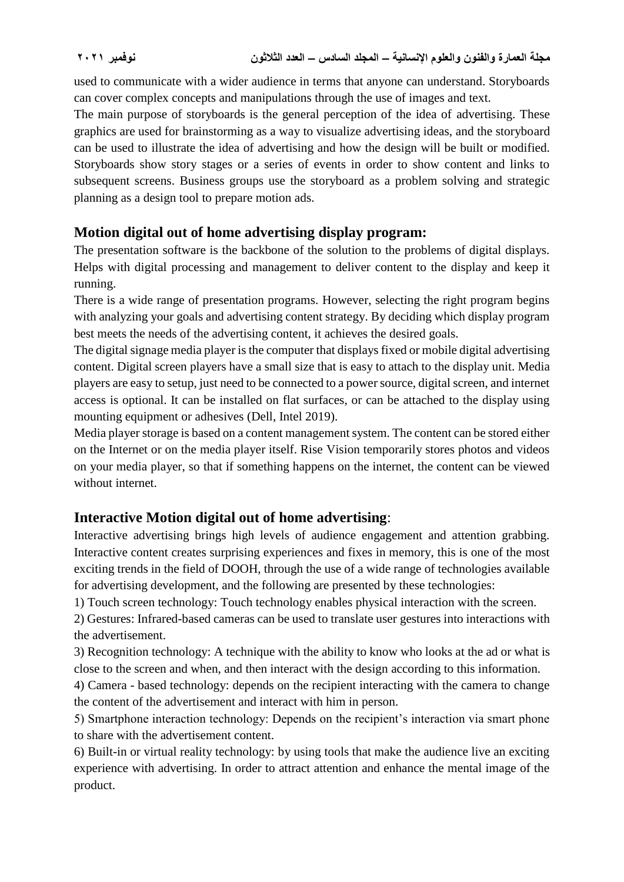used to communicate with a wider audience in terms that anyone can understand. Storyboards can cover complex concepts and manipulations through the use of images and text.

The main purpose of storyboards is the general perception of the idea of advertising. These graphics are used for brainstorming as a way to visualize advertising ideas, and the storyboard can be used to illustrate the idea of advertising and how the design will be built or modified. Storyboards show story stages or a series of events in order to show content and links to subsequent screens. Business groups use the storyboard as a problem solving and strategic planning as a design tool to prepare motion ads.

## **Motion digital out of home advertising display program:**

The presentation software is the backbone of the solution to the problems of digital displays. Helps with digital processing and management to deliver content to the display and keep it running.

There is a wide range of presentation programs. However, selecting the right program begins with analyzing your goals and advertising content strategy. By deciding which display program best meets the needs of the advertising content, it achieves the desired goals.

The digital signage media player is the computer that displays fixed or mobile digital advertising content. Digital screen players have a small size that is easy to attach to the display unit. Media players are easy to setup, just need to be connected to a power source, digital screen, and internet access is optional. It can be installed on flat surfaces, or can be attached to the display using mounting equipment or adhesives (Dell, Intel 2019).

Media player storage is based on a content management system. The content can be stored either on the Internet or on the media player itself. Rise Vision temporarily stores photos and videos on your media player, so that if something happens on the internet, the content can be viewed without internet

# **Interactive Motion digital out of home advertising**:

Interactive advertising brings high levels of audience engagement and attention grabbing. Interactive content creates surprising experiences and fixes in memory, this is one of the most exciting trends in the field of DOOH, through the use of a wide range of technologies available for advertising development, and the following are presented by these technologies:

1) Touch screen technology: Touch technology enables physical interaction with the screen.

2) Gestures: Infrared-based cameras can be used to translate user gestures into interactions with the advertisement.

3) Recognition technology: A technique with the ability to know who looks at the ad or what is close to the screen and when, and then interact with the design according to this information.

4) Camera - based technology: depends on the recipient interacting with the camera to change the content of the advertisement and interact with him in person.

5) Smartphone interaction technology: Depends on the recipient's interaction via smart phone to share with the advertisement content.

6) Built-in or virtual reality technology: by using tools that make the audience live an exciting experience with advertising. In order to attract attention and enhance the mental image of the product.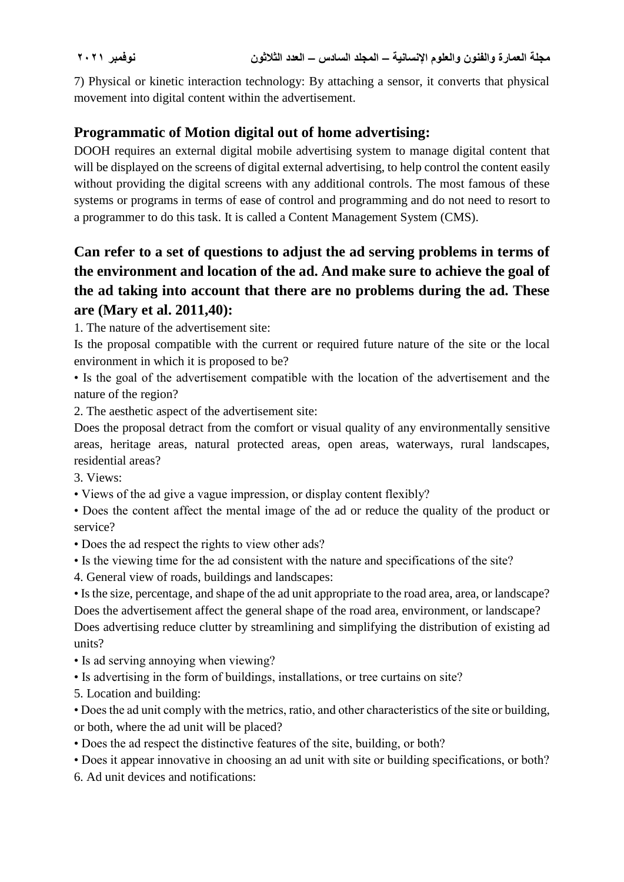7) Physical or kinetic interaction technology: By attaching a sensor, it converts that physical movement into digital content within the advertisement.

## **Programmatic of Motion digital out of home advertising:**

DOOH requires an external digital mobile advertising system to manage digital content that will be displayed on the screens of digital external advertising, to help control the content easily without providing the digital screens with any additional controls. The most famous of these systems or programs in terms of ease of control and programming and do not need to resort to a programmer to do this task. It is called a Content Management System (CMS).

# **Can refer to a set of questions to adjust the ad serving problems in terms of the environment and location of the ad. And make sure to achieve the goal of the ad taking into account that there are no problems during the ad. These are (Mary et al. 2011,40):**

1. The nature of the advertisement site:

Is the proposal compatible with the current or required future nature of the site or the local environment in which it is proposed to be?

• Is the goal of the advertisement compatible with the location of the advertisement and the nature of the region?

2. The aesthetic aspect of the advertisement site:

Does the proposal detract from the comfort or visual quality of any environmentally sensitive areas, heritage areas, natural protected areas, open areas, waterways, rural landscapes, residential areas?

3. Views:

• Views of the ad give a vague impression, or display content flexibly?

• Does the content affect the mental image of the ad or reduce the quality of the product or service?

- Does the ad respect the rights to view other ads?
- Is the viewing time for the ad consistent with the nature and specifications of the site?
- 4. General view of roads, buildings and landscapes:

• Is the size, percentage, and shape of the ad unit appropriate to the road area, area, or landscape? Does the advertisement affect the general shape of the road area, environment, or landscape? Does advertising reduce clutter by streamlining and simplifying the distribution of existing ad

units?

- Is ad serving annoying when viewing?
- Is advertising in the form of buildings, installations, or tree curtains on site?
- 5. Location and building:

• Does the ad unit comply with the metrics, ratio, and other characteristics of the site or building, or both, where the ad unit will be placed?

- Does the ad respect the distinctive features of the site, building, or both?
- Does it appear innovative in choosing an ad unit with site or building specifications, or both?

6. Ad unit devices and notifications: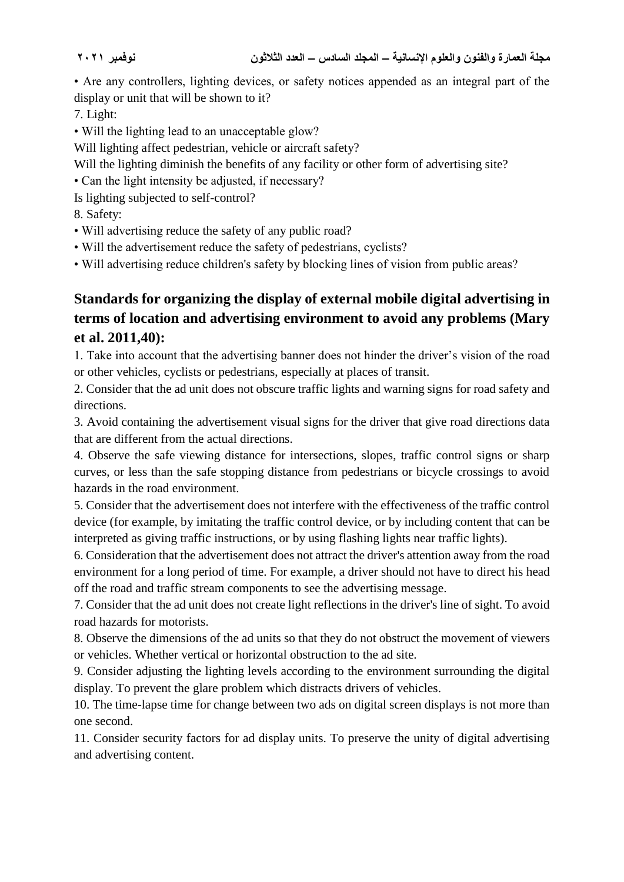• Are any controllers, lighting devices, or safety notices appended as an integral part of the display or unit that will be shown to it?

7. Light:

- Will the lighting lead to an unacceptable glow?
- Will lighting affect pedestrian, vehicle or aircraft safety?
- Will the lighting diminish the benefits of any facility or other form of advertising site?
- Can the light intensity be adjusted, if necessary?
- Is lighting subjected to self-control?

8. Safety:

- Will advertising reduce the safety of any public road?
- Will the advertisement reduce the safety of pedestrians, cyclists?

• Will advertising reduce children's safety by blocking lines of vision from public areas?

# **Standards for organizing the display of external mobile digital advertising in terms of location and advertising environment to avoid any problems (Mary et al. 2011,40):**

1. Take into account that the advertising banner does not hinder the driver's vision of the road or other vehicles, cyclists or pedestrians, especially at places of transit.

2. Consider that the ad unit does not obscure traffic lights and warning signs for road safety and directions.

3. Avoid containing the advertisement visual signs for the driver that give road directions data that are different from the actual directions.

4. Observe the safe viewing distance for intersections, slopes, traffic control signs or sharp curves, or less than the safe stopping distance from pedestrians or bicycle crossings to avoid hazards in the road environment.

5. Consider that the advertisement does not interfere with the effectiveness of the traffic control device (for example, by imitating the traffic control device, or by including content that can be interpreted as giving traffic instructions, or by using flashing lights near traffic lights).

6. Consideration that the advertisement does not attract the driver's attention away from the road environment for a long period of time. For example, a driver should not have to direct his head off the road and traffic stream components to see the advertising message.

7. Consider that the ad unit does not create light reflections in the driver's line of sight. To avoid road hazards for motorists.

8. Observe the dimensions of the ad units so that they do not obstruct the movement of viewers or vehicles. Whether vertical or horizontal obstruction to the ad site.

9. Consider adjusting the lighting levels according to the environment surrounding the digital display. To prevent the glare problem which distracts drivers of vehicles.

10. The time-lapse time for change between two ads on digital screen displays is not more than one second.

11. Consider security factors for ad display units. To preserve the unity of digital advertising and advertising content.